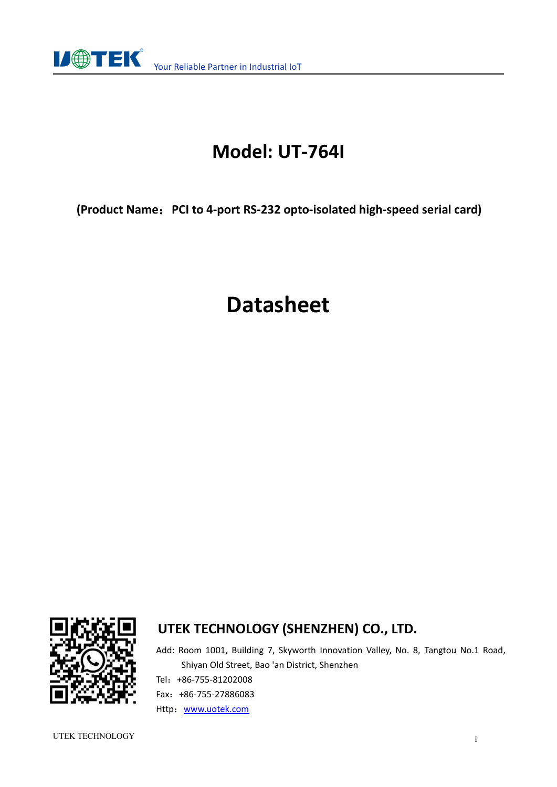

## **Model: UT-764I**

**(Product Name**:**PCI to 4-port RS-232 opto-isolated high-speed serial card)**

# **Datasheet**



#### **UTEK TECHNOLOGY (SHENZHEN) CO., LTD.**

Add: Room 1001, Building 7, Skyworth Innovation Valley, No. 8, Tangtou No.1 Road, Shiyan Old Street, Bao 'an District, Shenzhen Tel:+86-755-81202008 Fax:+86-755-27886083 Http: [www.uotek.com](http://www.uotek.com)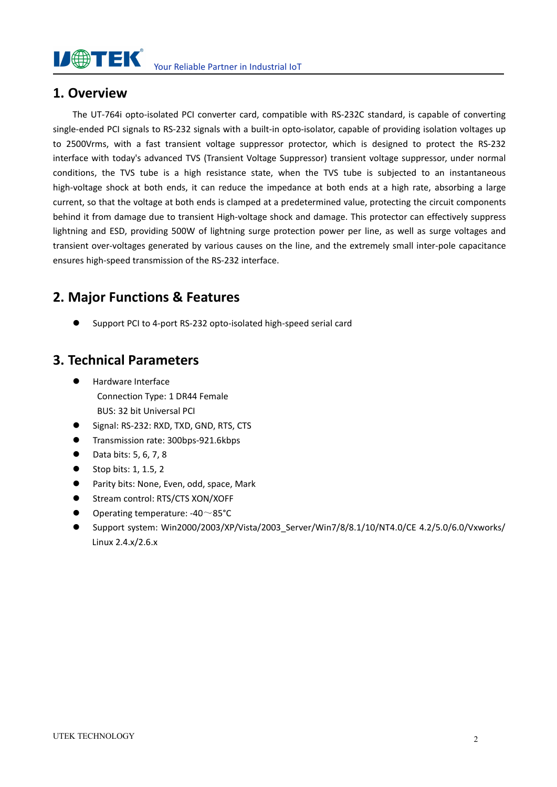

#### **1. Overview**

The UT-764i opto-isolated PCI converter card, compatible with RS-232C standard, is capable of converting single-ended PCI signals to RS-232 signals with a built-in opto-isolator, capable of providing isolation voltages up to 2500Vrms, with a fast transient voltage suppressor protector, which is designed to protect the RS-232 interface with today's advanced TVS (Transient Voltage Suppressor) transient voltage suppressor, under normal conditions, the TVS tube is a high resistance state, when the TVS tube is subjected to an instantaneous high-voltage shock at both ends, it can reduce the impedance at both ends at a high rate, absorbing a large current, so that the voltage at both ends is clamped at a predetermined value, protecting the circuit components behind it from damage due to transient High-voltage shock and damage. This protector can effectively suppress lightning and ESD, providing 500W of lightning surge protection power per line, as well as surge voltages and transient over-voltages generated by various causes on the line, and the extremely small inter-pole capacitance ensures high-speed transmission of the RS-232 interface.

#### **2. Major Functions & Features**

Support PCI to 4-port RS-232 opto-isolated high-speed serial card

#### **3. Technical Parameters**

- Hardware Interface Connection Type: 1 DR44 Female BUS: 32 bit Universal PCI
- G Signal: RS-232: RXD, TXD, GND, RTS, CTS
- **Transmission rate: 300bps-921.6kbps**
- Data bits: 5, 6, 7, 8
- $\bullet$  Stop bits: 1, 1, 5, 2
- **•** Parity bits: None, Even, odd, space, Mark
- Stream control: RTS/CTS XON/XOFF
- Operating temperature: -40~85°C
- Support system: Win2000/2003/XP/Vista/2003\_Server/Win7/8/8.1/10/NT4.0/CE 4.2/5.0/6.0/Vxworks/ Linux 2.4.x/2.6.x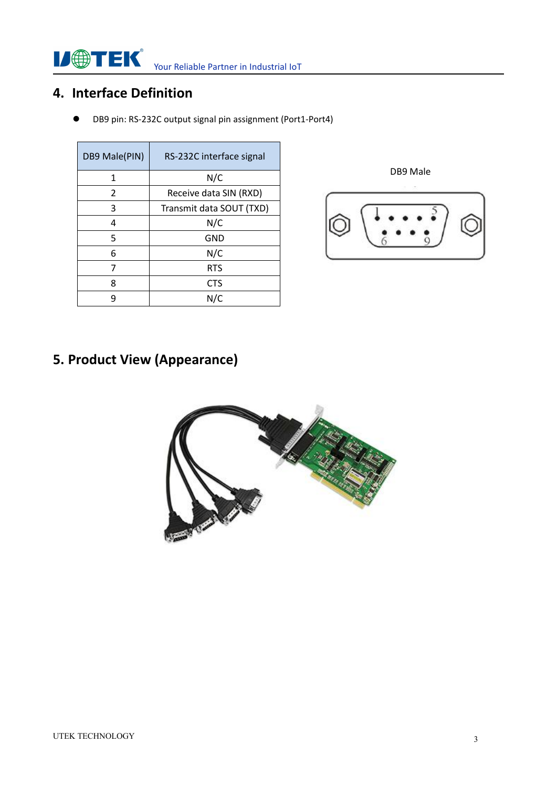**ISETEK** Your Reliable Partner in Industrial IoT

### **4. Interface Definition**

DB9 pin: RS-232C output signal pin assignment (Port1-Port4)

| DB9 Male(PIN)  | RS-232C interface signal |
|----------------|--------------------------|
| 1              | N/C                      |
| $\mathfrak{p}$ | Receive data SIN (RXD)   |
| 3              | Transmit data SOUT (TXD) |
| 4              | N/C                      |
| 5              | <b>GND</b>               |
| 6              | N/C                      |
|                | <b>RTS</b>               |
| 8              | <b>CTS</b>               |
| q              | N/C                      |



## **5. Product View (Appearance)**